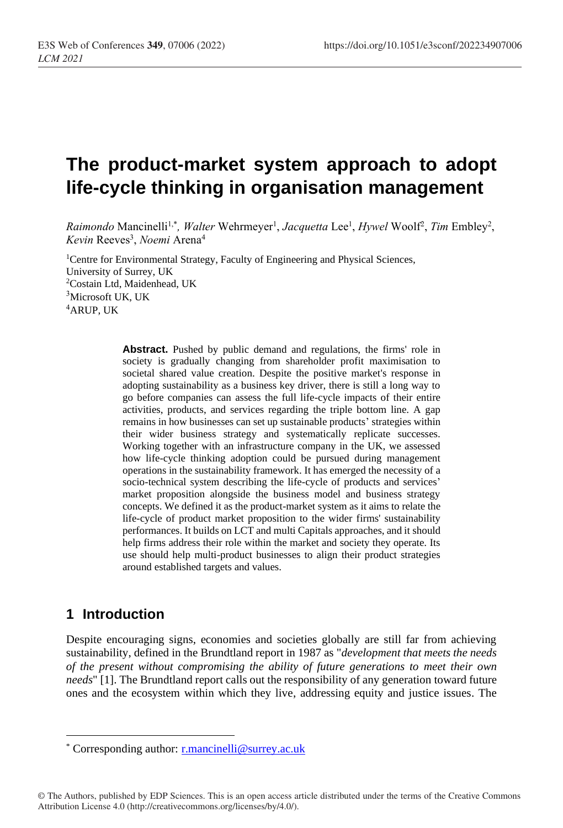# **The product-market system approach to adopt life-cycle thinking in organisation management**

Raimondo Mancinelli<sup>1,\*</sup>, *Walter* Wehrmeyer<sup>1</sup>, *Jacquetta* Lee<sup>1</sup>, *Hywel* Woolf<sup>2</sup>, *Tim* Embley<sup>2</sup>, *Kevin* Reeves<sup>3</sup> , *Noemi* Arena<sup>4</sup>

<sup>1</sup>Centre for Environmental Strategy, Faculty of Engineering and Physical Sciences, University of Surrey, UK <sup>2</sup>Costain Ltd, Maidenhead, UK <sup>3</sup>Microsoft UK, UK <sup>4</sup>ARUP, UK

> **Abstract.** Pushed by public demand and regulations, the firms' role in society is gradually changing from shareholder profit maximisation to societal shared value creation. Despite the positive market's response in adopting sustainability as a business key driver, there is still a long way to go before companies can assess the full life-cycle impacts of their entire activities, products, and services regarding the triple bottom line. A gap remains in how businesses can set up sustainable products' strategies within their wider business strategy and systematically replicate successes. Working together with an infrastructure company in the UK, we assessed how life-cycle thinking adoption could be pursued during management operations in the sustainability framework. It has emerged the necessity of a socio-technical system describing the life-cycle of products and services' market proposition alongside the business model and business strategy concepts. We defined it as the product-market system as it aims to relate the life-cycle of product market proposition to the wider firms' sustainability performances. It builds on LCT and multi Capitals approaches, and it should help firms address their role within the market and society they operate. Its use should help multi-product businesses to align their product strategies around established targets and values.

## **1 Introduction**

Despite encouraging signs, economies and societies globally are still far from achieving sustainability, defined in the Brundtland report in 1987 as "*development that meets the needs of the present without compromising the ability of future generations to meet their own needs*" [1]. The Brundtland report calls out the responsibility of any generation toward future ones and the ecosystem within which they live, addressing equity and justice issues. The

<sup>\*</sup> Corresponding author: [r.mancinelli@surrey.ac.uk](mailto:r.mancinelli@surrey.ac.uk)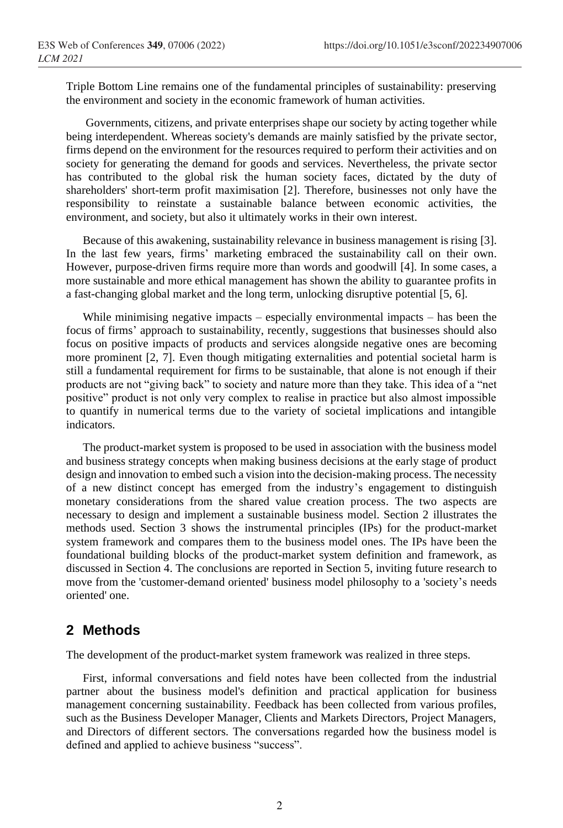Triple Bottom Line remains one of the fundamental principles of sustainability: preserving the environment and society in the economic framework of human activities.

Governments, citizens, and private enterprises shape our society by acting together while being interdependent. Whereas society's demands are mainly satisfied by the private sector, firms depend on the environment for the resources required to perform their activities and on society for generating the demand for goods and services. Nevertheless, the private sector has contributed to the global risk the human society faces, dictated by the duty of shareholders' short-term profit maximisation [2]. Therefore, businesses not only have the responsibility to reinstate a sustainable balance between economic activities, the environment, and society, but also it ultimately works in their own interest.

Because of this awakening, sustainability relevance in business management is rising [3]. In the last few years, firms' marketing embraced the sustainability call on their own. However, purpose-driven firms require more than words and goodwill [4]. In some cases, a more sustainable and more ethical management has shown the ability to guarantee profits in a fast-changing global market and the long term, unlocking disruptive potential [5, 6].

While minimising negative impacts – especially environmental impacts – has been the focus of firms' approach to sustainability, recently, suggestions that businesses should also focus on positive impacts of products and services alongside negative ones are becoming more prominent [2, 7]. Even though mitigating externalities and potential societal harm is still a fundamental requirement for firms to be sustainable, that alone is not enough if their products are not "giving back" to society and nature more than they take. This idea of a "net positive" product is not only very complex to realise in practice but also almost impossible to quantify in numerical terms due to the variety of societal implications and intangible indicators.

The product-market system is proposed to be used in association with the business model and business strategy concepts when making business decisions at the early stage of product design and innovation to embed such a vision into the decision-making process. The necessity of a new distinct concept has emerged from the industry's engagement to distinguish monetary considerations from the shared value creation process. The two aspects are necessary to design and implement a sustainable business model. Section 2 illustrates the methods used. Section 3 shows the instrumental principles (IPs) for the product-market system framework and compares them to the business model ones. The IPs have been the foundational building blocks of the product-market system definition and framework, as discussed in Section 4. The conclusions are reported in Section 5, inviting future research to move from the 'customer-demand oriented' business model philosophy to a 'society's needs oriented' one.

#### **2 Methods**

The development of the product-market system framework was realized in three steps.

First, informal conversations and field notes have been collected from the industrial partner about the business model's definition and practical application for business management concerning sustainability. Feedback has been collected from various profiles, such as the Business Developer Manager, Clients and Markets Directors, Project Managers, and Directors of different sectors. The conversations regarded how the business model is defined and applied to achieve business "success".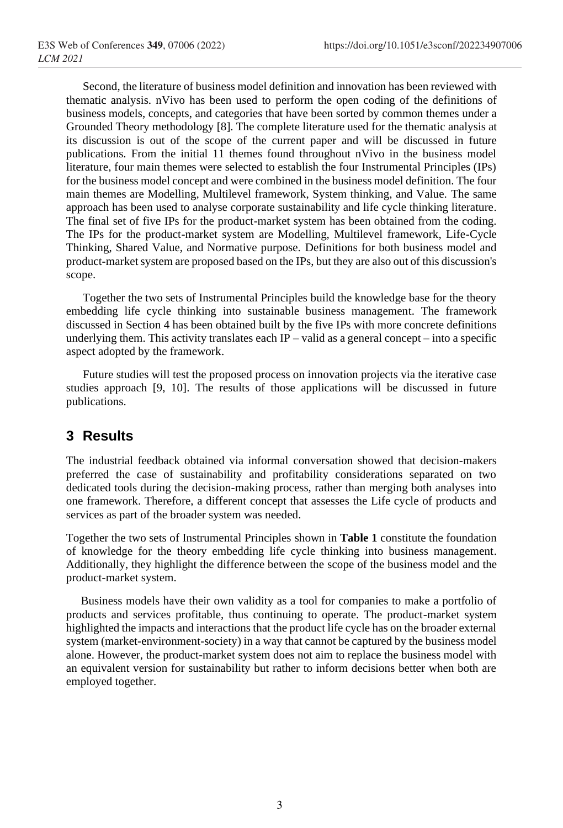Second, the literature of business model definition and innovation has been reviewed with thematic analysis. nVivo has been used to perform the open coding of the definitions of business models, concepts, and categories that have been sorted by common themes under a Grounded Theory methodology [8]. The complete literature used for the thematic analysis at its discussion is out of the scope of the current paper and will be discussed in future publications. From the initial 11 themes found throughout nVivo in the business model literature, four main themes were selected to establish the four Instrumental Principles (IPs) for the business model concept and were combined in the business model definition. The four main themes are Modelling, Multilevel framework, System thinking, and Value. The same approach has been used to analyse corporate sustainability and life cycle thinking literature. The final set of five IPs for the product-market system has been obtained from the coding. The IPs for the product-market system are Modelling, Multilevel framework, Life-Cycle Thinking, Shared Value, and Normative purpose. Definitions for both business model and product-market system are proposed based on the IPs, but they are also out of this discussion's scope.

Together the two sets of Instrumental Principles build the knowledge base for the theory embedding life cycle thinking into sustainable business management. The framework discussed in Section 4 has been obtained built by the five IPs with more concrete definitions underlying them. This activity translates each  $IP -$  valid as a general concept – into a specific aspect adopted by the framework.

Future studies will test the proposed process on innovation projects via the iterative case studies approach [9, 10]. The results of those applications will be discussed in future publications.

## **3 Results**

The industrial feedback obtained via informal conversation showed that decision-makers preferred the case of sustainability and profitability considerations separated on two dedicated tools during the decision-making process, rather than merging both analyses into one framework. Therefore, a different concept that assesses the Life cycle of products and services as part of the broader system was needed.

Together the two sets of Instrumental Principles shown in **Table 1** constitute the foundation of knowledge for the theory embedding life cycle thinking into business management. Additionally, they highlight the difference between the scope of the business model and the product-market system.

 Business models have their own validity as a tool for companies to make a portfolio of products and services profitable, thus continuing to operate. The product-market system highlighted the impacts and interactions that the product life cycle has on the broader external system (market-environment-society) in a way that cannot be captured by the business model alone. However, the product-market system does not aim to replace the business model with an equivalent version for sustainability but rather to inform decisions better when both are employed together.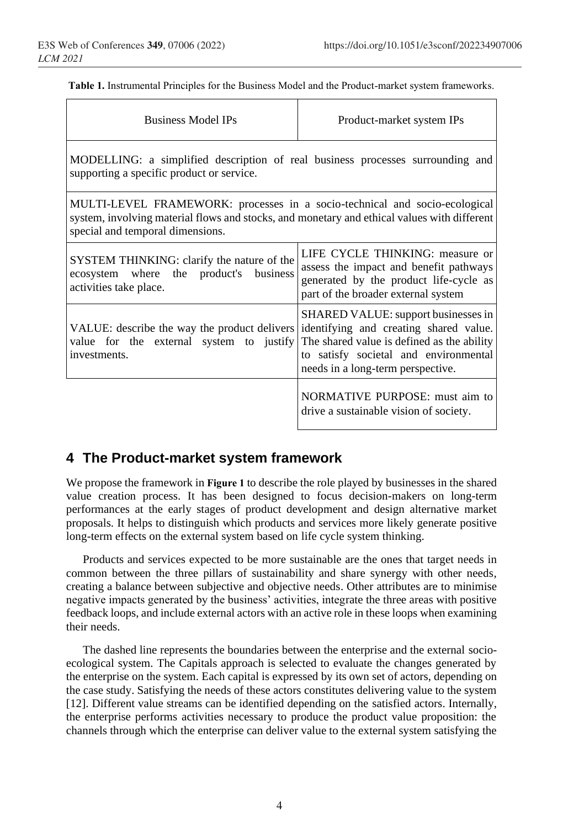$\mathbf{r}$ 

**Table 1.** Instrumental Principles for the Business Model and the Product-market system frameworks.

| <b>Business Model IPs</b>                                                                                                                                                                                     | Product-market system IPs                                                                                                                                                                                 |
|---------------------------------------------------------------------------------------------------------------------------------------------------------------------------------------------------------------|-----------------------------------------------------------------------------------------------------------------------------------------------------------------------------------------------------------|
| MODELLING: a simplified description of real business processes surrounding and<br>supporting a specific product or service.                                                                                   |                                                                                                                                                                                                           |
| MULTI-LEVEL FRAMEWORK: processes in a socio-technical and socio-ecological<br>system, involving material flows and stocks, and monetary and ethical values with different<br>special and temporal dimensions. |                                                                                                                                                                                                           |
| SYSTEM THINKING: clarify the nature of the<br>ecosystem where the product's business<br>activities take place.                                                                                                | LIFE CYCLE THINKING: measure or<br>assess the impact and benefit pathways<br>generated by the product life-cycle as<br>part of the broader external system                                                |
| VALUE: describe the way the product delivers<br>value for the external system to justify<br>investments.                                                                                                      | SHARED VALUE: support businesses in<br>identifying and creating shared value.<br>The shared value is defined as the ability<br>to satisfy societal and environmental<br>needs in a long-term perspective. |
|                                                                                                                                                                                                               | NORMATIVE PURPOSE: must aim to<br>drive a sustainable vision of society.                                                                                                                                  |

## **4 The Product-market system framework**

We propose the framework in **Figure 1** to describe the role played by businesses in the shared value creation process. It has been designed to focus decision-makers on long-term performances at the early stages of product development and design alternative market proposals. It helps to distinguish which products and services more likely generate positive long-term effects on the external system based on life cycle system thinking.

Products and services expected to be more sustainable are the ones that target needs in common between the three pillars of sustainability and share synergy with other needs, creating a balance between subjective and objective needs. Other attributes are to minimise negative impacts generated by the business' activities, integrate the three areas with positive feedback loops, and include external actors with an active role in these loops when examining their needs.

The dashed line represents the boundaries between the enterprise and the external socioecological system. The Capitals approach is selected to evaluate the changes generated by the enterprise on the system. Each capital is expressed by its own set of actors, depending on the case study. Satisfying the needs of these actors constitutes delivering value to the system [12]. Different value streams can be identified depending on the satisfied actors. Internally, the enterprise performs activities necessary to produce the product value proposition: the channels through which the enterprise can deliver value to the external system satisfying the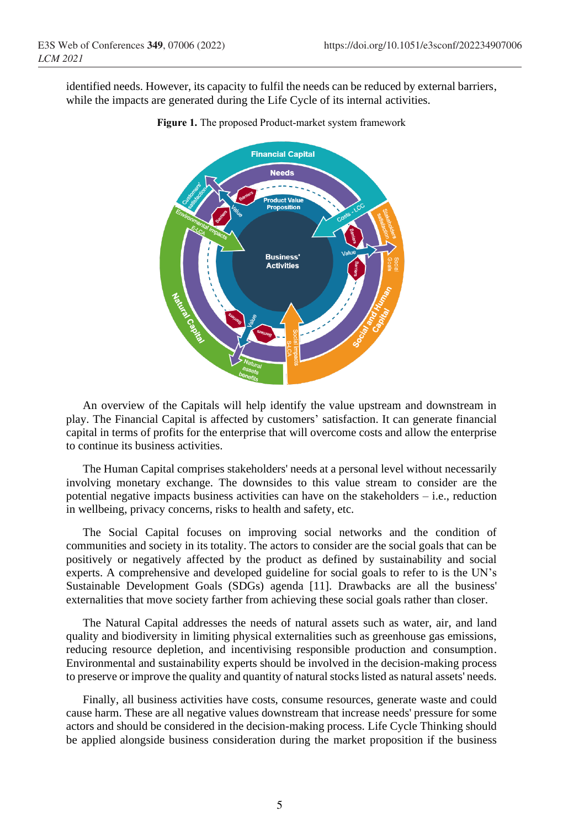identified needs. However, its capacity to fulfil the needs can be reduced by external barriers, while the impacts are generated during the Life Cycle of its internal activities.



**Figure 1.** The proposed Product-market system framework

An overview of the Capitals will help identify the value upstream and downstream in play. The Financial Capital is affected by customers' satisfaction. It can generate financial capital in terms of profits for the enterprise that will overcome costs and allow the enterprise to continue its business activities.

The Human Capital comprises stakeholders' needs at a personal level without necessarily involving monetary exchange. The downsides to this value stream to consider are the potential negative impacts business activities can have on the stakeholders – i.e., reduction in wellbeing, privacy concerns, risks to health and safety, etc.

The Social Capital focuses on improving social networks and the condition of communities and society in its totality. The actors to consider are the social goals that can be positively or negatively affected by the product as defined by sustainability and social experts. A comprehensive and developed guideline for social goals to refer to is the UN's Sustainable Development Goals (SDGs) agenda [11]. Drawbacks are all the business' externalities that move society farther from achieving these social goals rather than closer.

The Natural Capital addresses the needs of natural assets such as water, air, and land quality and biodiversity in limiting physical externalities such as greenhouse gas emissions, reducing resource depletion, and incentivising responsible production and consumption. Environmental and sustainability experts should be involved in the decision-making process to preserve or improve the quality and quantity of natural stocks listed as natural assets' needs.

Finally, all business activities have costs, consume resources, generate waste and could cause harm. These are all negative values downstream that increase needs' pressure for some actors and should be considered in the decision-making process. Life Cycle Thinking should be applied alongside business consideration during the market proposition if the business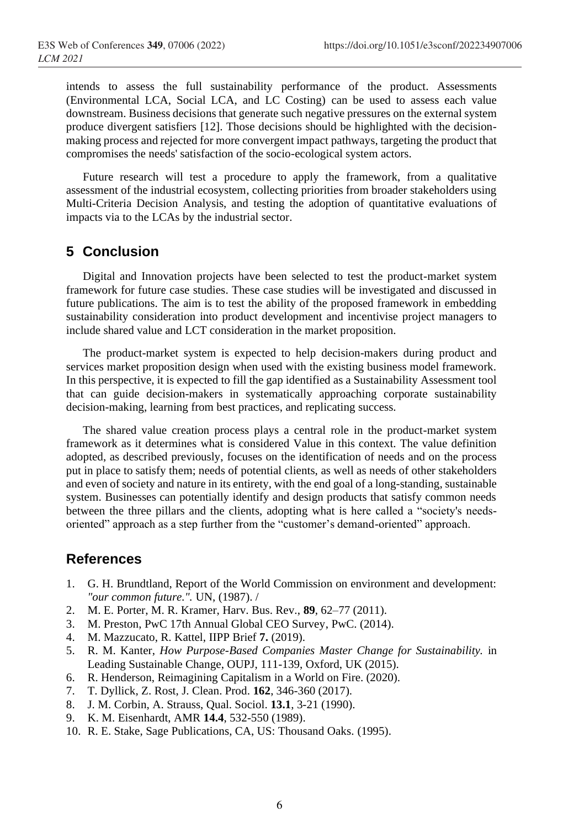intends to assess the full sustainability performance of the product. Assessments (Environmental LCA, Social LCA, and LC Costing) can be used to assess each value downstream. Business decisions that generate such negative pressures on the external system produce divergent satisfiers [12]. Those decisions should be highlighted with the decisionmaking process and rejected for more convergent impact pathways, targeting the product that compromises the needs' satisfaction of the socio-ecological system actors.

Future research will test a procedure to apply the framework, from a qualitative assessment of the industrial ecosystem, collecting priorities from broader stakeholders using Multi-Criteria Decision Analysis, and testing the adoption of quantitative evaluations of impacts via to the LCAs by the industrial sector.

#### **5 Conclusion**

Digital and Innovation projects have been selected to test the product-market system framework for future case studies. These case studies will be investigated and discussed in future publications. The aim is to test the ability of the proposed framework in embedding sustainability consideration into product development and incentivise project managers to include shared value and LCT consideration in the market proposition.

The product-market system is expected to help decision-makers during product and services market proposition design when used with the existing business model framework. In this perspective, it is expected to fill the gap identified as a Sustainability Assessment tool that can guide decision-makers in systematically approaching corporate sustainability decision-making, learning from best practices, and replicating success.

The shared value creation process plays a central role in the product-market system framework as it determines what is considered Value in this context. The value definition adopted, as described previously, focuses on the identification of needs and on the process put in place to satisfy them; needs of potential clients, as well as needs of other stakeholders and even of society and nature in its entirety, with the end goal of a long-standing, sustainable system. Businesses can potentially identify and design products that satisfy common needs between the three pillars and the clients, adopting what is here called a "society's needsoriented" approach as a step further from the "customer's demand-oriented" approach.

### **References**

- 1. G. H. Brundtland, Report of the World Commission on environment and development: *"our common future.".* UN, (1987). /
- 2. M. E. Porter, M. R. Kramer, Harv. Bus. Rev., **89**, 62–77 (2011).
- 3. M. Preston, PwC 17th Annual Global CEO Survey, PwC. (2014).
- 4. M. Mazzucato, R. Kattel, IIPP Brief **7.** (2019).
- 5. R. M. Kanter, *How Purpose-Based Companies Master Change for Sustainability.* in Leading Sustainable Change, OUPJ, 111-139, Oxford, UK (2015).
- 6. R. Henderson, Reimagining Capitalism in a World on Fire. (2020).
- 7. T. Dyllick, Z. Rost, J. Clean. Prod. **162**, 346-360 (2017).
- 8. J. M. Corbin, A. Strauss, Qual. Sociol. **13.1**, 3-21 (1990).
- 9. K. M. Eisenhardt, AMR **14.4**, 532-550 (1989).
- 10. R. E. Stake, Sage Publications, CA, US: Thousand Oaks. (1995).